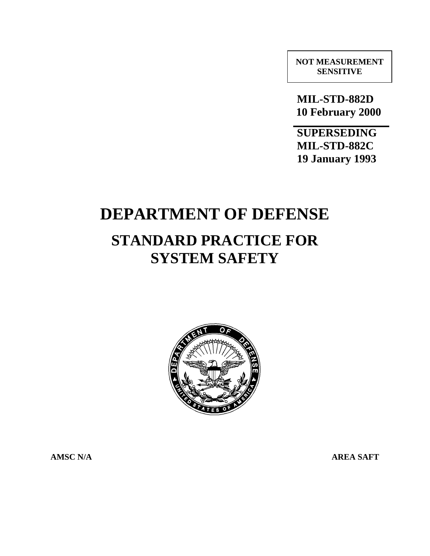**NOT MEASUREMENT SENSITIVE**

 **MIL-STD-882D 10 February 2000**

**SUPERSEDING MIL-STD-882C 19 January 1993**

# **DEPARTMENT OF DEFENSE**

# **STANDARD PRACTICE FOR SYSTEM SAFETY**



**AMSC N/A** AREA SAFT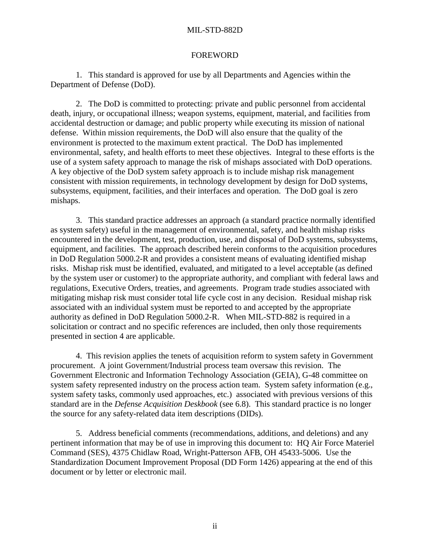#### FOREWORD

1. This standard is approved for use by all Departments and Agencies within the Department of Defense (DoD).

2. The DoD is committed to protecting: private and public personnel from accidental death, injury, or occupational illness; weapon systems, equipment, material, and facilities from accidental destruction or damage; and public property while executing its mission of national defense. Within mission requirements, the DoD will also ensure that the quality of the environment is protected to the maximum extent practical. The DoD has implemented environmental, safety, and health efforts to meet these objectives. Integral to these efforts is the use of a system safety approach to manage the risk of mishaps associated with DoD operations. A key objective of the DoD system safety approach is to include mishap risk management consistent with mission requirements, in technology development by design for DoD systems, subsystems, equipment, facilities, and their interfaces and operation. The DoD goal is zero mishaps.

3. This standard practice addresses an approach (a standard practice normally identified as system safety) useful in the management of environmental, safety, and health mishap risks encountered in the development, test, production, use, and disposal of DoD systems, subsystems, equipment, and facilities. The approach described herein conforms to the acquisition procedures in DoD Regulation 5000.2-R and provides a consistent means of evaluating identified mishap risks. Mishap risk must be identified, evaluated, and mitigated to a level acceptable (as defined by the system user or customer) to the appropriate authority, and compliant with federal laws and regulations, Executive Orders, treaties, and agreements. Program trade studies associated with mitigating mishap risk must consider total life cycle cost in any decision. Residual mishap risk associated with an individual system must be reported to and accepted by the appropriate authority as defined in DoD Regulation 5000.2-R. When MIL-STD-882 is required in a solicitation or contract and no specific references are included, then only those requirements presented in section 4 are applicable.

4. This revision applies the tenets of acquisition reform to system safety in Government procurement. A joint Government/Industrial process team oversaw this revision. The Government Electronic and Information Technology Association (GEIA), G-48 committee on system safety represented industry on the process action team. System safety information (e.g., system safety tasks, commonly used approaches, etc.) associated with previous versions of this standard are in the *Defense Acquisition Deskbook* (see 6.8). This standard practice is no longer the source for any safety-related data item descriptions (DIDs).

5. Address beneficial comments (recommendations, additions, and deletions) and any pertinent information that may be of use in improving this document to: HQ Air Force Materiel Command (SES), 4375 Chidlaw Road, Wright-Patterson AFB, OH 45433-5006. Use the Standardization Document Improvement Proposal (DD Form 1426) appearing at the end of this document or by letter or electronic mail.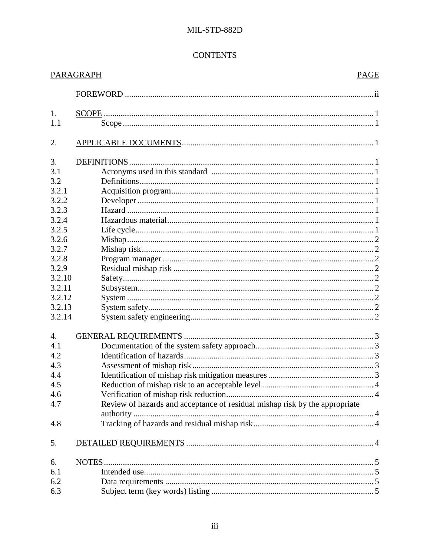# **CONTENTS**

|        | PARAGRAPH<br><b>PAGE</b>                                                    |  |
|--------|-----------------------------------------------------------------------------|--|
|        |                                                                             |  |
| 1.     |                                                                             |  |
| 1.1    |                                                                             |  |
| 2.     |                                                                             |  |
| 3.     | DEFINITIONS.                                                                |  |
| 3.1    |                                                                             |  |
| 3.2    |                                                                             |  |
| 3.2.1  |                                                                             |  |
| 3.2.2  |                                                                             |  |
| 3.2.3  |                                                                             |  |
| 3.2.4  |                                                                             |  |
| 3.2.5  |                                                                             |  |
| 3.2.6  |                                                                             |  |
| 3.2.7  |                                                                             |  |
| 3.2.8  |                                                                             |  |
| 3.2.9  |                                                                             |  |
| 3.2.10 |                                                                             |  |
| 3.2.11 |                                                                             |  |
| 3.2.12 |                                                                             |  |
| 3.2.13 |                                                                             |  |
| 3.2.14 |                                                                             |  |
| 4.     |                                                                             |  |
| 4.1    |                                                                             |  |
| 4.2    |                                                                             |  |
| 4.3    |                                                                             |  |
| 4.4    |                                                                             |  |
| 4.5    |                                                                             |  |
|        |                                                                             |  |
| 4.6    |                                                                             |  |
| 4.7    | Review of hazards and acceptance of residual mishap risk by the appropriate |  |
|        |                                                                             |  |
| 4.8    |                                                                             |  |
| 5.     |                                                                             |  |
| 6.     |                                                                             |  |
| 6.1    |                                                                             |  |
| 6.2    |                                                                             |  |
| 6.3    |                                                                             |  |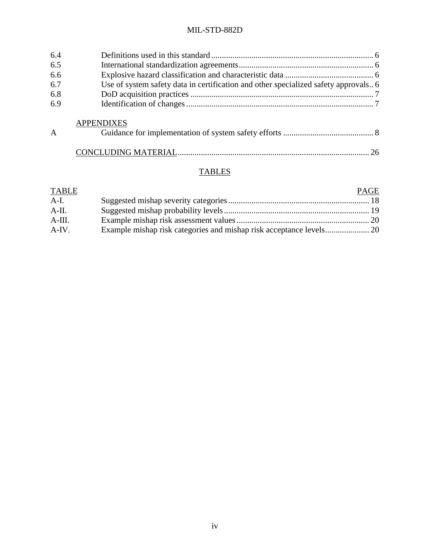| 6.4            |                                                                                     |  |
|----------------|-------------------------------------------------------------------------------------|--|
| 6.5            |                                                                                     |  |
| 6.6            |                                                                                     |  |
| 6.7            | Use of system safety data in certification and other specialized safety approvals 6 |  |
| 6.8            |                                                                                     |  |
| 6.9            |                                                                                     |  |
|                | <b>APPENDIXES</b>                                                                   |  |
| $\overline{A}$ |                                                                                     |  |
|                |                                                                                     |  |

# **TABLES**

| PAGE |
|------|
|      |
|      |
|      |
|      |
|      |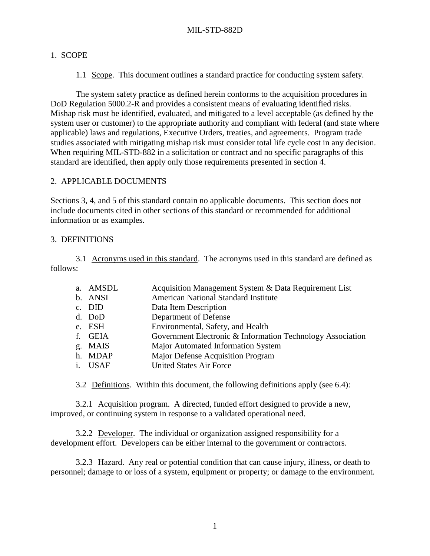#### 1. SCOPE

1.1 Scope. This document outlines a standard practice for conducting system safety.

The system safety practice as defined herein conforms to the acquisition procedures in DoD Regulation 5000.2-R and provides a consistent means of evaluating identified risks. Mishap risk must be identified, evaluated, and mitigated to a level acceptable (as defined by the system user or customer) to the appropriate authority and compliant with federal (and state where applicable) laws and regulations, Executive Orders, treaties, and agreements. Program trade studies associated with mitigating mishap risk must consider total life cycle cost in any decision. When requiring MIL-STD-882 in a solicitation or contract and no specific paragraphs of this standard are identified, then apply only those requirements presented in section 4.

#### 2. APPLICABLE DOCUMENTS

Sections 3, 4, and 5 of this standard contain no applicable documents. This section does not include documents cited in other sections of this standard or recommended for additional information or as examples.

#### 3. DEFINITIONS

3.1 Acronyms used in this standard. The acronyms used in this standard are defined as follows:

| a. AMSDL | Acquisition Management System & Data Requirement List      |
|----------|------------------------------------------------------------|
| b. ANSI  | <b>American National Standard Institute</b>                |
| c. DID   | Data Item Description                                      |
| d. DoD   | Department of Defense                                      |
| e. ESH   | Environmental, Safety, and Health                          |
| f. GEIA  | Government Electronic & Information Technology Association |
| g. MAIS  | Major Automated Information System                         |
| h. MDAP  | Major Defense Acquisition Program                          |
| i. USAF  | <b>United States Air Force</b>                             |
|          |                                                            |

3.2 Definitions. Within this document, the following definitions apply (see 6.4):

3.2.1 Acquisition program. A directed, funded effort designed to provide a new, improved, or continuing system in response to a validated operational need.

3.2.2 Developer. The individual or organization assigned responsibility for a development effort. Developers can be either internal to the government or contractors.

3.2.3 Hazard. Any real or potential condition that can cause injury, illness, or death to personnel; damage to or loss of a system, equipment or property; or damage to the environment.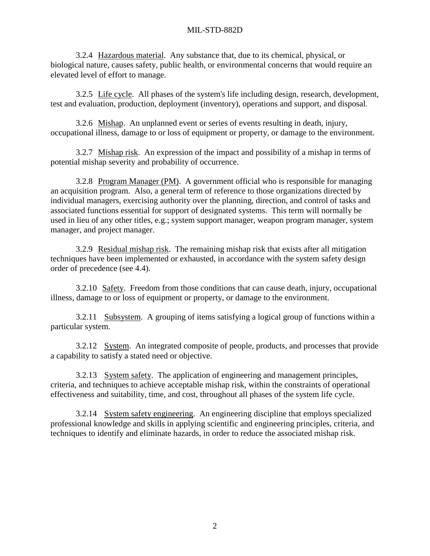3.2.4 Hazardous material. Any substance that, due to its chemical, physical, or biological nature, causes safety, public health, or environmental concerns that would require an elevated level of effort to manage.

3.2.5 Life cycle. All phases of the system's life including design, research, development, test and evaluation, production, deployment (inventory), operations and support, and disposal.

3.2.6 Mishap. An unplanned event or series of events resulting in death, injury, occupational illness, damage to or loss of equipment or property, or damage to the environment.

3.2.7 Mishap risk. An expression of the impact and possibility of a mishap in terms of potential mishap severity and probability of occurrence.

3.2.8 Program Manager (PM). A government official who is responsible for managing an acquisition program. Also, a general term of reference to those organizations directed by individual managers, exercising authority over the planning, direction, and control of tasks and associated functions essential for support of designated systems. This term will normally be used in lieu of any other titles, e.g.; system support manager, weapon program manager, system manager, and project manager.

3.2.9 Residual mishap risk. The remaining mishap risk that exists after all mitigation techniques have been implemented or exhausted, in accordance with the system safety design order of precedence (see 4.4).

3.2.10 Safety. Freedom from those conditions that can cause death, injury, occupational illness, damage to or loss of equipment or property, or damage to the environment.

3.2.11 Subsystem. A grouping of items satisfying a logical group of functions within a particular system.

3.2.12 System. An integrated composite of people, products, and processes that provide a capability to satisfy a stated need or objective.

3.2.13 System safety. The application of engineering and management principles, criteria, and techniques to achieve acceptable mishap risk, within the constraints of operational effectiveness and suitability, time, and cost, throughout all phases of the system life cycle.

3.2.14 System safety engineering. An engineering discipline that employs specialized professional knowledge and skills in applying scientific and engineering principles, criteria, and techniques to identify and eliminate hazards, in order to reduce the associated mishap risk.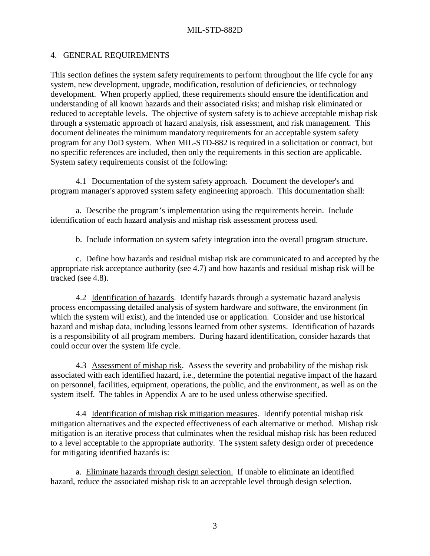#### 4. GENERAL REQUIREMENTS

This section defines the system safety requirements to perform throughout the life cycle for any system, new development, upgrade, modification, resolution of deficiencies, or technology development. When properly applied, these requirements should ensure the identification and understanding of all known hazards and their associated risks; and mishap risk eliminated or reduced to acceptable levels. The objective of system safety is to achieve acceptable mishap risk through a systematic approach of hazard analysis, risk assessment, and risk management. This document delineates the minimum mandatory requirements for an acceptable system safety program for any DoD system. When MIL-STD-882 is required in a solicitation or contract, but no specific references are included, then only the requirements in this section are applicable. System safety requirements consist of the following:

4.1 Documentation of the system safety approach. Document the developer's and program manager's approved system safety engineering approach. This documentation shall:

a. Describe the program's implementation using the requirements herein. Include identification of each hazard analysis and mishap risk assessment process used.

b. Include information on system safety integration into the overall program structure.

c. Define how hazards and residual mishap risk are communicated to and accepted by the appropriate risk acceptance authority (see 4.7) and how hazards and residual mishap risk will be tracked (see 4.8).

4.2 Identification of hazards. Identify hazards through a systematic hazard analysis process encompassing detailed analysis of system hardware and software, the environment (in which the system will exist), and the intended use or application. Consider and use historical hazard and mishap data, including lessons learned from other systems. Identification of hazards is a responsibility of all program members. During hazard identification, consider hazards that could occur over the system life cycle.

4.3 Assessment of mishap risk. Assess the severity and probability of the mishap risk associated with each identified hazard, i.e., determine the potential negative impact of the hazard on personnel, facilities, equipment, operations, the public, and the environment, as well as on the system itself. The tables in Appendix A are to be used unless otherwise specified.

4.4 Identification of mishap risk mitigation measures. Identify potential mishap risk mitigation alternatives and the expected effectiveness of each alternative or method. Mishap risk mitigation is an iterative process that culminates when the residual mishap risk has been reduced to a level acceptable to the appropriate authority. The system safety design order of precedence for mitigating identified hazards is:

a. Eliminate hazards through design selection. If unable to eliminate an identified hazard, reduce the associated mishap risk to an acceptable level through design selection.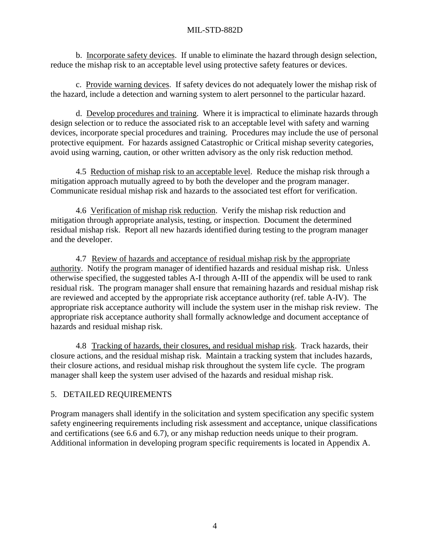b. Incorporate safety devices. If unable to eliminate the hazard through design selection, reduce the mishap risk to an acceptable level using protective safety features or devices.

c. Provide warning devices. If safety devices do not adequately lower the mishap risk of the hazard, include a detection and warning system to alert personnel to the particular hazard.

d. Develop procedures and training. Where it is impractical to eliminate hazards through design selection or to reduce the associated risk to an acceptable level with safety and warning devices, incorporate special procedures and training. Procedures may include the use of personal protective equipment. For hazards assigned Catastrophic or Critical mishap severity categories, avoid using warning, caution, or other written advisory as the only risk reduction method.

4.5 Reduction of mishap risk to an acceptable level. Reduce the mishap risk through a mitigation approach mutually agreed to by both the developer and the program manager. Communicate residual mishap risk and hazards to the associated test effort for verification.

4.6 Verification of mishap risk reduction. Verify the mishap risk reduction and mitigation through appropriate analysis, testing, or inspection. Document the determined residual mishap risk. Report all new hazards identified during testing to the program manager and the developer.

4.7 Review of hazards and acceptance of residual mishap risk by the appropriate authority. Notify the program manager of identified hazards and residual mishap risk. Unless otherwise specified, the suggested tables A-I through A-III of the appendix will be used to rank residual risk. The program manager shall ensure that remaining hazards and residual mishap risk are reviewed and accepted by the appropriate risk acceptance authority (ref. table A-IV). The appropriate risk acceptance authority will include the system user in the mishap risk review. The appropriate risk acceptance authority shall formally acknowledge and document acceptance of hazards and residual mishap risk.

4.8 Tracking of hazards, their closures, and residual mishap risk. Track hazards, their closure actions, and the residual mishap risk. Maintain a tracking system that includes hazards, their closure actions, and residual mishap risk throughout the system life cycle. The program manager shall keep the system user advised of the hazards and residual mishap risk.

# 5. DETAILED REQUIREMENTS

Program managers shall identify in the solicitation and system specification any specific system safety engineering requirements including risk assessment and acceptance, unique classifications and certifications (see 6.6 and 6.7), or any mishap reduction needs unique to their program. Additional information in developing program specific requirements is located in Appendix A.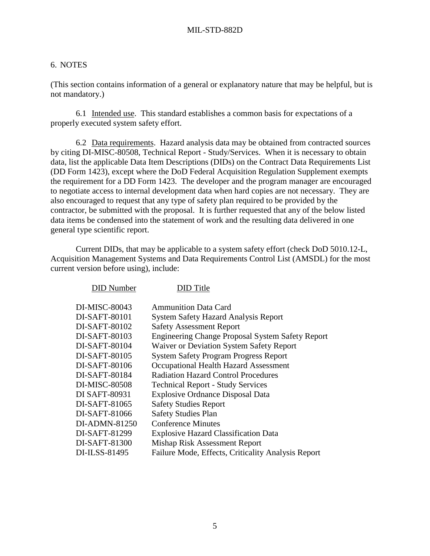#### 6. NOTES

(This section contains information of a general or explanatory nature that may be helpful, but is not mandatory.)

6.1 Intended use. This standard establishes a common basis for expectations of a properly executed system safety effort.

6.2 Data requirements. Hazard analysis data may be obtained from contracted sources by citing DI-MISC-80508, Technical Report - Study/Services. When it is necessary to obtain data, list the applicable Data Item Descriptions (DIDs) on the Contract Data Requirements List (DD Form 1423), except where the DoD Federal Acquisition Regulation Supplement exempts the requirement for a DD Form 1423. The developer and the program manager are encouraged to negotiate access to internal development data when hard copies are not necessary. They are also encouraged to request that any type of safety plan required to be provided by the contractor, be submitted with the proposal. It is further requested that any of the below listed data items be condensed into the statement of work and the resulting data delivered in one general type scientific report.

Current DIDs, that may be applicable to a system safety effort (check DoD 5010.12-L, Acquisition Management Systems and Data Requirements Control List (AMSDL) for the most current version before using), include:

| <b>DID</b> Number | <b>DID</b> Title                                        |
|-------------------|---------------------------------------------------------|
| DI-MISC-80043     | <b>Ammunition Data Card</b>                             |
| DI-SAFT-80101     | <b>System Safety Hazard Analysis Report</b>             |
| DI-SAFT-80102     | <b>Safety Assessment Report</b>                         |
| DI-SAFT-80103     | <b>Engineering Change Proposal System Safety Report</b> |
| DI-SAFT-80104     | Waiver or Deviation System Safety Report                |
| DI-SAFT-80105     | <b>System Safety Program Progress Report</b>            |
| DI-SAFT-80106     | Occupational Health Hazard Assessment                   |
| DI-SAFT-80184     | <b>Radiation Hazard Control Procedures</b>              |
| DI-MISC-80508     | <b>Technical Report - Study Services</b>                |
| DI SAFT-80931     | <b>Explosive Ordnance Disposal Data</b>                 |
| DI-SAFT-81065     | <b>Safety Studies Report</b>                            |
| DI-SAFT-81066     | <b>Safety Studies Plan</b>                              |
| DI-ADMN-81250     | <b>Conference Minutes</b>                               |
| DI-SAFT-81299     | <b>Explosive Hazard Classification Data</b>             |
| DI-SAFT-81300     | Mishap Risk Assessment Report                           |
| DI-ILSS-81495     | Failure Mode, Effects, Criticality Analysis Report      |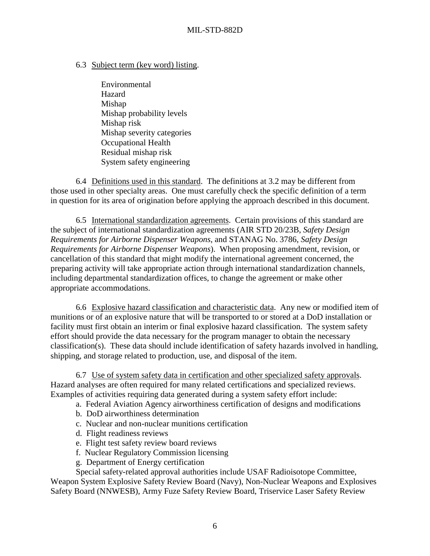6.3 Subject term (key word) listing.

Environmental Hazard Mishap Mishap probability levels Mishap risk Mishap severity categories Occupational Health Residual mishap risk System safety engineering

6.4 Definitions used in this standard. The definitions at 3.2 may be different from those used in other specialty areas. One must carefully check the specific definition of a term in question for its area of origination before applying the approach described in this document.

6.5 International standardization agreements. Certain provisions of this standard are the subject of international standardization agreements (AIR STD 20/23B, *Safety Design Requirements for Airborne Dispenser Weapons*, and STANAG No. 3786, *Safety Design Requirements for Airborne Dispenser Weapons*). When proposing amendment, revision, or cancellation of this standard that might modify the international agreement concerned, the preparing activity will take appropriate action through international standardization channels, including departmental standardization offices, to change the agreement or make other appropriate accommodations.

6.6 Explosive hazard classification and characteristic data. Any new or modified item of munitions or of an explosive nature that will be transported to or stored at a DoD installation or facility must first obtain an interim or final explosive hazard classification. The system safety effort should provide the data necessary for the program manager to obtain the necessary classification(s). These data should include identification of safety hazards involved in handling, shipping, and storage related to production, use, and disposal of the item.

6.7 Use of system safety data in certification and other specialized safety approvals. Hazard analyses are often required for many related certifications and specialized reviews. Examples of activities requiring data generated during a system safety effort include:

- a. Federal Aviation Agency airworthiness certification of designs and modifications
- b. DoD airworthiness determination
- c. Nuclear and non-nuclear munitions certification
- d. Flight readiness reviews
- e. Flight test safety review board reviews
- f. Nuclear Regulatory Commission licensing
- g. Department of Energy certification

Special safety-related approval authorities include USAF Radioisotope Committee, Weapon System Explosive Safety Review Board (Navy), Non-Nuclear Weapons and Explosives Safety Board (NNWESB), Army Fuze Safety Review Board, Triservice Laser Safety Review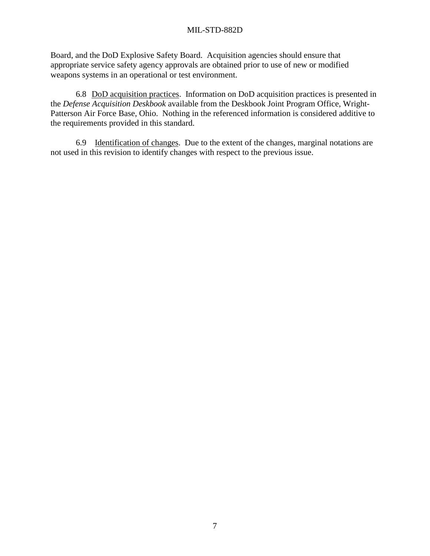Board, and the DoD Explosive Safety Board. Acquisition agencies should ensure that appropriate service safety agency approvals are obtained prior to use of new or modified weapons systems in an operational or test environment.

6.8 DoD acquisition practices. Information on DoD acquisition practices is presented in the *Defense Acquisition Deskbook* available from the Deskbook Joint Program Office, Wright-Patterson Air Force Base, Ohio. Nothing in the referenced information is considered additive to the requirements provided in this standard.

6.9 Identification of changes. Due to the extent of the changes, marginal notations are not used in this revision to identify changes with respect to the previous issue.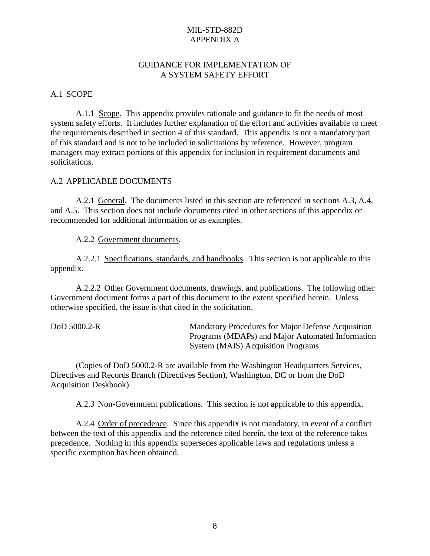#### GUIDANCE FOR IMPLEMENTATION OF A SYSTEM SAFETY EFFORT

A.1 SCOPE

A.1.1 Scope. This appendix provides rationale and guidance to fit the needs of most system safety efforts. It includes further explanation of the effort and activities available to meet the requirements described in section 4 of this standard. This appendix is not a mandatory part of this standard and is not to be included in solicitations by reference. However, program managers may extract portions of this appendix for inclusion in requirement documents and solicitations.

#### A.2 APPLICABLE DOCUMENTS

A.2.1 General. The documents listed in this section are referenced in sections A.3, A.4, and A.5. This section does not include documents cited in other sections of this appendix or recommended for additional information or as examples.

A.2.2 Government documents.

A.2.2.1 Specifications, standards, and handbooks. This section is not applicable to this appendix.

A.2.2.2 Other Government documents, drawings, and publications. The following other Government document forms a part of this document to the extent specified herein. Unless otherwise specified, the issue is that cited in the solicitation.

| DoD 5000.2-R | Mandatory Procedures for Major Defense Acquisition |
|--------------|----------------------------------------------------|
|              | Programs (MDAPs) and Major Automated Information   |
|              | System (MAIS) Acquisition Programs                 |

(Copies of DoD 5000.2-R are available from the Washington Headquarters Services, Directives and Records Branch (Directives Section), Washington, DC or from the DoD Acquisition Deskbook).

A.2.3 Non-Government publications. This section is not applicable to this appendix.

A.2.4 Order of precedence. Since this appendix is not mandatory, in event of a conflict between the text of this appendix and the reference cited herein, the text of the reference takes precedence. Nothing in this appendix supersedes applicable laws and regulations unless a specific exemption has been obtained.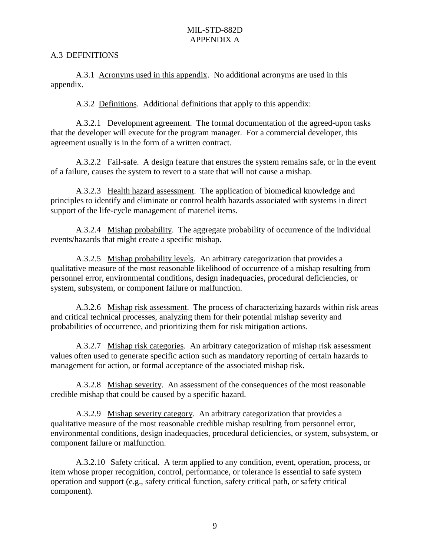#### A.3 DEFINITIONS

A.3.1 Acronyms used in this appendix. No additional acronyms are used in this appendix.

A.3.2 Definitions. Additional definitions that apply to this appendix:

A.3.2.1 Development agreement. The formal documentation of the agreed-upon tasks that the developer will execute for the program manager. For a commercial developer, this agreement usually is in the form of a written contract.

A.3.2.2 Fail-safe. A design feature that ensures the system remains safe, or in the event of a failure, causes the system to revert to a state that will not cause a mishap.

A.3.2.3 Health hazard assessment. The application of biomedical knowledge and principles to identify and eliminate or control health hazards associated with systems in direct support of the life-cycle management of materiel items.

A.3.2.4 Mishap probability. The aggregate probability of occurrence of the individual events/hazards that might create a specific mishap.

A.3.2.5 Mishap probability levels. An arbitrary categorization that provides a qualitative measure of the most reasonable likelihood of occurrence of a mishap resulting from personnel error, environmental conditions, design inadequacies, procedural deficiencies, or system, subsystem, or component failure or malfunction.

A.3.2.6 Mishap risk assessment.The process of characterizing hazards within risk areas and critical technical processes, analyzing them for their potential mishap severity and probabilities of occurrence, and prioritizing them for risk mitigation actions.

A.3.2.7 Mishap risk categories. An arbitrary categorization of mishap risk assessment values often used to generate specific action such as mandatory reporting of certain hazards to management for action, or formal acceptance of the associated mishap risk.

A.3.2.8 Mishap severity. An assessment of the consequences of the most reasonable credible mishap that could be caused by a specific hazard.

A.3.2.9 Mishap severity category. An arbitrary categorization that provides a qualitative measure of the most reasonable credible mishap resulting from personnel error, environmental conditions, design inadequacies, procedural deficiencies, or system, subsystem, or component failure or malfunction.

A.3.2.10 Safety critical. A term applied to any condition, event, operation, process, or item whose proper recognition, control, performance, or tolerance is essential to safe system operation and support (e.g., safety critical function, safety critical path, or safety critical component).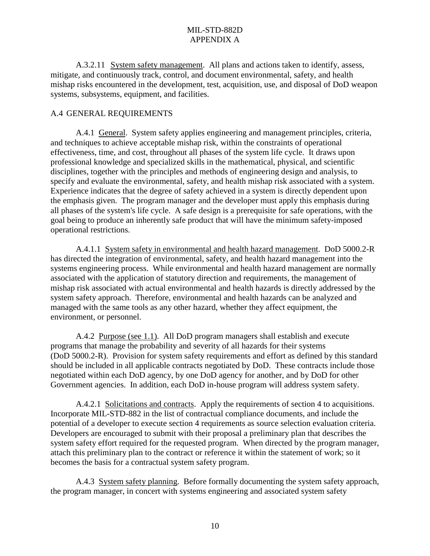A.3.2.11 System safety management. All plans and actions taken to identify, assess, mitigate, and continuously track, control, and document environmental, safety, and health mishap risks encountered in the development, test, acquisition, use, and disposal of DoD weapon systems, subsystems, equipment, and facilities.

#### A.4 GENERAL REQUIREMENTS

A.4.1 General. System safety applies engineering and management principles, criteria, and techniques to achieve acceptable mishap risk, within the constraints of operational effectiveness, time, and cost, throughout all phases of the system life cycle. It draws upon professional knowledge and specialized skills in the mathematical, physical, and scientific disciplines, together with the principles and methods of engineering design and analysis, to specify and evaluate the environmental, safety, and health mishap risk associated with a system. Experience indicates that the degree of safety achieved in a system is directly dependent upon the emphasis given. The program manager and the developer must apply this emphasis during all phases of the system's life cycle. A safe design is a prerequisite for safe operations, with the goal being to produce an inherently safe product that will have the minimum safety-imposed operational restrictions.

A.4.1.1 System safety in environmental and health hazard management. DoD 5000.2-R has directed the integration of environmental, safety, and health hazard management into the systems engineering process. While environmental and health hazard management are normally associated with the application of statutory direction and requirements, the management of mishap risk associated with actual environmental and health hazards is directly addressed by the system safety approach. Therefore, environmental and health hazards can be analyzed and managed with the same tools as any other hazard, whether they affect equipment, the environment, or personnel.

A.4.2 Purpose (see 1.1). All DoD program managers shall establish and execute programs that manage the probability and severity of all hazards for their systems (DoD 5000.2-R). Provision for system safety requirements and effort as defined by this standard should be included in all applicable contracts negotiated by DoD. These contracts include those negotiated within each DoD agency, by one DoD agency for another, and by DoD for other Government agencies. In addition, each DoD in-house program will address system safety.

A.4.2.1 Solicitations and contracts. Apply the requirements of section 4 to acquisitions. Incorporate MIL-STD-882 in the list of contractual compliance documents, and include the potential of a developer to execute section 4 requirements as source selection evaluation criteria. Developers are encouraged to submit with their proposal a preliminary plan that describes the system safety effort required for the requested program. When directed by the program manager, attach this preliminary plan to the contract or reference it within the statement of work; so it becomes the basis for a contractual system safety program.

A.4.3 System safety planning. Before formally documenting the system safety approach, the program manager, in concert with systems engineering and associated system safety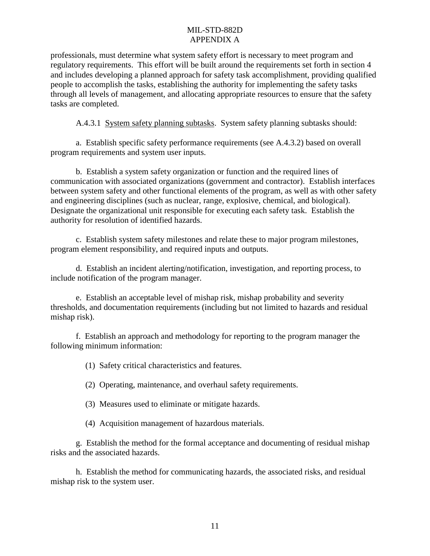professionals, must determine what system safety effort is necessary to meet program and regulatory requirements. This effort will be built around the requirements set forth in section 4 and includes developing a planned approach for safety task accomplishment, providing qualified people to accomplish the tasks, establishing the authority for implementing the safety tasks through all levels of management, and allocating appropriate resources to ensure that the safety tasks are completed.

A.4.3.1 System safety planning subtasks. System safety planning subtasks should:

a. Establish specific safety performance requirements (see A.4.3.2) based on overall program requirements and system user inputs.

b. Establish a system safety organization or function and the required lines of communication with associated organizations (government and contractor). Establish interfaces between system safety and other functional elements of the program, as well as with other safety and engineering disciplines (such as nuclear, range, explosive, chemical, and biological). Designate the organizational unit responsible for executing each safety task. Establish the authority for resolution of identified hazards.

c. Establish system safety milestones and relate these to major program milestones, program element responsibility, and required inputs and outputs.

d. Establish an incident alerting/notification, investigation, and reporting process, to include notification of the program manager.

e. Establish an acceptable level of mishap risk, mishap probability and severity thresholds, and documentation requirements (including but not limited to hazards and residual mishap risk).

f. Establish an approach and methodology for reporting to the program manager the following minimum information:

(1) Safety critical characteristics and features.

(2) Operating, maintenance, and overhaul safety requirements.

(3) Measures used to eliminate or mitigate hazards.

(4) Acquisition management of hazardous materials.

g. Establish the method for the formal acceptance and documenting of residual mishap risks and the associated hazards.

h. Establish the method for communicating hazards, the associated risks, and residual mishap risk to the system user.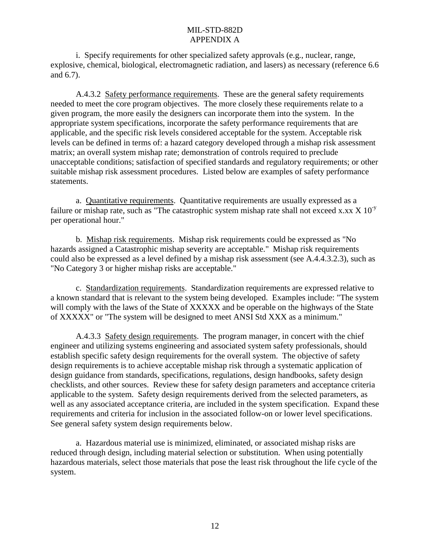i. Specify requirements for other specialized safety approvals (e.g., nuclear, range, explosive, chemical, biological, electromagnetic radiation, and lasers) as necessary (reference 6.6 and 6.7).

A.4.3.2 Safety performance requirements. These are the general safety requirements needed to meet the core program objectives. The more closely these requirements relate to a given program, the more easily the designers can incorporate them into the system. In the appropriate system specifications, incorporate the safety performance requirements that are applicable, and the specific risk levels considered acceptable for the system. Acceptable risk levels can be defined in terms of: a hazard category developed through a mishap risk assessment matrix; an overall system mishap rate; demonstration of controls required to preclude unacceptable conditions; satisfaction of specified standards and regulatory requirements; or other suitable mishap risk assessment procedures. Listed below are examples of safety performance statements.

a. Quantitative requirements. Quantitative requirements are usually expressed as a failure or mishap rate, such as "The catastrophic system mishap rate shall not exceed x.xx  $X$  10<sup>-y</sup> per operational hour."

b. Mishap risk requirements. Mishap risk requirements could be expressed as "No hazards assigned a Catastrophic mishap severity are acceptable." Mishap risk requirements could also be expressed as a level defined by a mishap risk assessment (see A.4.4.3.2.3), such as "No Category 3 or higher mishap risks are acceptable."

c. Standardization requirements. Standardization requirements are expressed relative to a known standard that is relevant to the system being developed. Examples include: "The system will comply with the laws of the State of XXXXX and be operable on the highways of the State of XXXXX" or "The system will be designed to meet ANSI Std XXX as a minimum."

A.4.3.3 Safety design requirements. The program manager, in concert with the chief engineer and utilizing systems engineering and associated system safety professionals, should establish specific safety design requirements for the overall system. The objective of safety design requirements is to achieve acceptable mishap risk through a systematic application of design guidance from standards, specifications, regulations, design handbooks, safety design checklists, and other sources. Review these for safety design parameters and acceptance criteria applicable to the system. Safety design requirements derived from the selected parameters, as well as any associated acceptance criteria, are included in the system specification. Expand these requirements and criteria for inclusion in the associated follow-on or lower level specifications. See general safety system design requirements below.

a. Hazardous material use is minimized, eliminated, or associated mishap risks are reduced through design, including material selection or substitution. When using potentially hazardous materials, select those materials that pose the least risk throughout the life cycle of the system.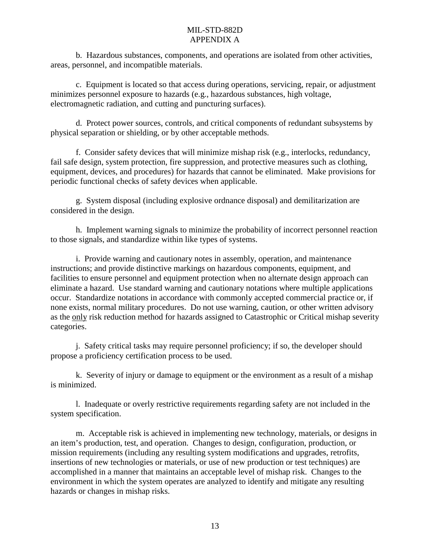b. Hazardous substances, components, and operations are isolated from other activities, areas, personnel, and incompatible materials.

c. Equipment is located so that access during operations, servicing, repair, or adjustment minimizes personnel exposure to hazards (e.g., hazardous substances, high voltage, electromagnetic radiation, and cutting and puncturing surfaces).

d. Protect power sources, controls, and critical components of redundant subsystems by physical separation or shielding, or by other acceptable methods.

f. Consider safety devices that will minimize mishap risk (e.g., interlocks, redundancy, fail safe design, system protection, fire suppression, and protective measures such as clothing, equipment, devices, and procedures) for hazards that cannot be eliminated. Make provisions for periodic functional checks of safety devices when applicable.

g. System disposal (including explosive ordnance disposal) and demilitarization are considered in the design.

h. Implement warning signals to minimize the probability of incorrect personnel reaction to those signals, and standardize within like types of systems.

i. Provide warning and cautionary notes in assembly, operation, and maintenance instructions; and provide distinctive markings on hazardous components, equipment, and facilities to ensure personnel and equipment protection when no alternate design approach can eliminate a hazard. Use standard warning and cautionary notations where multiple applications occur. Standardize notations in accordance with commonly accepted commercial practice or, if none exists, normal military procedures. Do not use warning, caution, or other written advisory as the only risk reduction method for hazards assigned to Catastrophic or Critical mishap severity categories.

j. Safety critical tasks may require personnel proficiency; if so, the developer should propose a proficiency certification process to be used.

k. Severity of injury or damage to equipment or the environment as a result of a mishap is minimized.

l. Inadequate or overly restrictive requirements regarding safety are not included in the system specification.

m. Acceptable risk is achieved in implementing new technology, materials, or designs in an item's production, test, and operation. Changes to design, configuration, production, or mission requirements (including any resulting system modifications and upgrades, retrofits, insertions of new technologies or materials, or use of new production or test techniques) are accomplished in a manner that maintains an acceptable level of mishap risk. Changes to the environment in which the system operates are analyzed to identify and mitigate any resulting hazards or changes in mishap risks.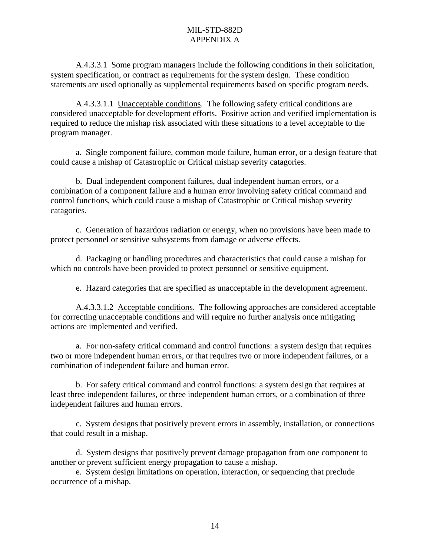A.4.3.3.1 Some program managers include the following conditions in their solicitation, system specification, or contract as requirements for the system design. These condition statements are used optionally as supplemental requirements based on specific program needs.

A.4.3.3.1.1 Unacceptable conditions. The following safety critical conditions are considered unacceptable for development efforts. Positive action and verified implementation is required to reduce the mishap risk associated with these situations to a level acceptable to the program manager.

a. Single component failure, common mode failure, human error, or a design feature that could cause a mishap of Catastrophic or Critical mishap severity catagories.

b. Dual independent component failures, dual independent human errors, or a combination of a component failure and a human error involving safety critical command and control functions, which could cause a mishap of Catastrophic or Critical mishap severity catagories.

c. Generation of hazardous radiation or energy, when no provisions have been made to protect personnel or sensitive subsystems from damage or adverse effects.

d. Packaging or handling procedures and characteristics that could cause a mishap for which no controls have been provided to protect personnel or sensitive equipment.

e. Hazard categories that are specified as unacceptable in the development agreement.

A.4.3.3.1.2 Acceptable conditions. The following approaches are considered acceptable for correcting unacceptable conditions and will require no further analysis once mitigating actions are implemented and verified.

a. For non-safety critical command and control functions: a system design that requires two or more independent human errors, or that requires two or more independent failures, or a combination of independent failure and human error.

b. For safety critical command and control functions: a system design that requires at least three independent failures, or three independent human errors, or a combination of three independent failures and human errors.

c. System designs that positively prevent errors in assembly, installation, or connections that could result in a mishap.

d. System designs that positively prevent damage propagation from one component to another or prevent sufficient energy propagation to cause a mishap.

e. System design limitations on operation, interaction, or sequencing that preclude occurrence of a mishap.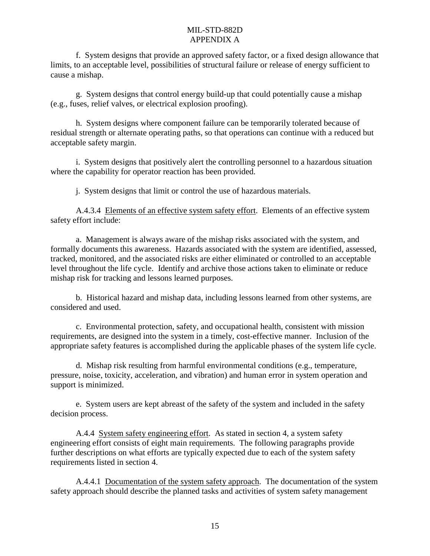f. System designs that provide an approved safety factor, or a fixed design allowance that limits, to an acceptable level, possibilities of structural failure or release of energy sufficient to cause a mishap.

g. System designs that control energy build-up that could potentially cause a mishap (e.g., fuses, relief valves, or electrical explosion proofing).

h. System designs where component failure can be temporarily tolerated because of residual strength or alternate operating paths, so that operations can continue with a reduced but acceptable safety margin.

i. System designs that positively alert the controlling personnel to a hazardous situation where the capability for operator reaction has been provided.

j. System designs that limit or control the use of hazardous materials.

A.4.3.4 Elements of an effective system safety effort. Elements of an effective system safety effort include:

a. Management is always aware of the mishap risks associated with the system, and formally documents this awareness. Hazards associated with the system are identified, assessed, tracked, monitored, and the associated risks are either eliminated or controlled to an acceptable level throughout the life cycle. Identify and archive those actions taken to eliminate or reduce mishap risk for tracking and lessons learned purposes.

b. Historical hazard and mishap data, including lessons learned from other systems, are considered and used.

c. Environmental protection, safety, and occupational health, consistent with mission requirements, are designed into the system in a timely, cost-effective manner. Inclusion of the appropriate safety features is accomplished during the applicable phases of the system life cycle.

d. Mishap risk resulting from harmful environmental conditions (e.g., temperature, pressure, noise, toxicity, acceleration, and vibration) and human error in system operation and support is minimized.

e. System users are kept abreast of the safety of the system and included in the safety decision process.

A.4.4 System safety engineering effort. As stated in section 4, a system safety engineering effort consists of eight main requirements. The following paragraphs provide further descriptions on what efforts are typically expected due to each of the system safety requirements listed in section 4.

A.4.4.1 Documentation of the system safety approach. The documentation of the system safety approach should describe the planned tasks and activities of system safety management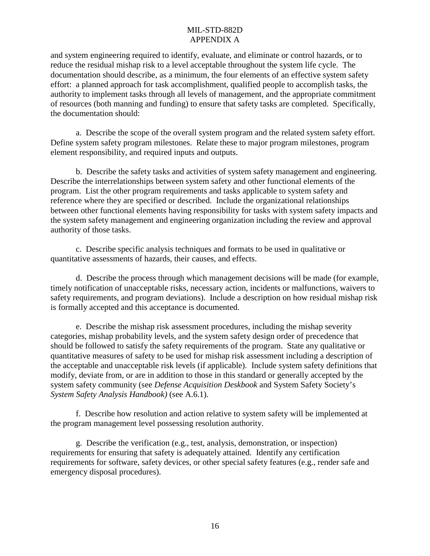and system engineering required to identify, evaluate, and eliminate or control hazards, or to reduce the residual mishap risk to a level acceptable throughout the system life cycle. The documentation should describe, as a minimum, the four elements of an effective system safety effort: a planned approach for task accomplishment, qualified people to accomplish tasks, the authority to implement tasks through all levels of management, and the appropriate commitment of resources (both manning and funding) to ensure that safety tasks are completed. Specifically, the documentation should:

a. Describe the scope of the overall system program and the related system safety effort. Define system safety program milestones. Relate these to major program milestones, program element responsibility, and required inputs and outputs.

b. Describe the safety tasks and activities of system safety management and engineering. Describe the interrelationships between system safety and other functional elements of the program. List the other program requirements and tasks applicable to system safety and reference where they are specified or described. Include the organizational relationships between other functional elements having responsibility for tasks with system safety impacts and the system safety management and engineering organization including the review and approval authority of those tasks.

c. Describe specific analysis techniques and formats to be used in qualitative or quantitative assessments of hazards, their causes, and effects.

d. Describe the process through which management decisions will be made (for example, timely notification of unacceptable risks, necessary action, incidents or malfunctions, waivers to safety requirements, and program deviations). Include a description on how residual mishap risk is formally accepted and this acceptance is documented.

e. Describe the mishap risk assessment procedures, including the mishap severity categories, mishap probability levels, and the system safety design order of precedence that should be followed to satisfy the safety requirements of the program. State any qualitative or quantitative measures of safety to be used for mishap risk assessment including a description of the acceptable and unacceptable risk levels (if applicable). Include system safety definitions that modify, deviate from, or are in addition to those in this standard or generally accepted by the system safety community (see *Defense Acquisition Deskbook* and System Safety Society's *System Safety Analysis Handbook)* (see A.6.1).

f. Describe how resolution and action relative to system safety will be implemented at the program management level possessing resolution authority.

g. Describe the verification (e.g., test, analysis, demonstration, or inspection) requirements for ensuring that safety is adequately attained. Identify any certification requirements for software, safety devices, or other special safety features (e.g., render safe and emergency disposal procedures).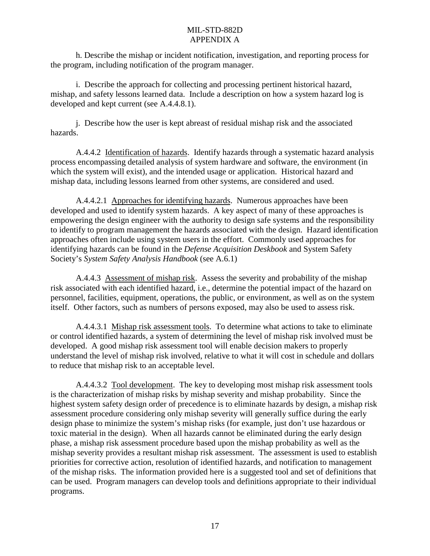h. Describe the mishap or incident notification, investigation, and reporting process for the program, including notification of the program manager.

i. Describe the approach for collecting and processing pertinent historical hazard, mishap, and safety lessons learned data. Include a description on how a system hazard log is developed and kept current (see A.4.4.8.1).

j. Describe how the user is kept abreast of residual mishap risk and the associated hazards.

A.4.4.2 Identification of hazards. Identify hazards through a systematic hazard analysis process encompassing detailed analysis of system hardware and software, the environment (in which the system will exist), and the intended usage or application. Historical hazard and mishap data, including lessons learned from other systems, are considered and used.

A.4.4.2.1 Approaches for identifying hazards. Numerous approaches have been developed and used to identify system hazards. A key aspect of many of these approaches is empowering the design engineer with the authority to design safe systems and the responsibility to identify to program management the hazards associated with the design. Hazard identification approaches often include using system users in the effort. Commonly used approaches for identifying hazards can be found in the *Defense Acquisition Deskbook* and System Safety Society's *System Safety Analysis Handbook* (see A.6.1)

A.4.4.3 Assessment of mishap risk. Assess the severity and probability of the mishap risk associated with each identified hazard, i.e., determine the potential impact of the hazard on personnel, facilities, equipment, operations, the public, or environment, as well as on the system itself. Other factors, such as numbers of persons exposed, may also be used to assess risk.

A.4.4.3.1 Mishap risk assessment tools. To determine what actions to take to eliminate or control identified hazards, a system of determining the level of mishap risk involved must be developed. A good mishap risk assessment tool will enable decision makers to properly understand the level of mishap risk involved, relative to what it will cost in schedule and dollars to reduce that mishap risk to an acceptable level.

A.4.4.3.2 Tool development. The key to developing most mishap risk assessment tools is the characterization of mishap risks by mishap severity and mishap probability. Since the highest system safety design order of precedence is to eliminate hazards by design, a mishap risk assessment procedure considering only mishap severity will generally suffice during the early design phase to minimize the system's mishap risks (for example, just don't use hazardous or toxic material in the design). When all hazards cannot be eliminated during the early design phase, a mishap risk assessment procedure based upon the mishap probability as well as the mishap severity provides a resultant mishap risk assessment. The assessment is used to establish priorities for corrective action, resolution of identified hazards, and notification to management of the mishap risks. The information provided here is a suggested tool and set of definitions that can be used. Program managers can develop tools and definitions appropriate to their individual programs.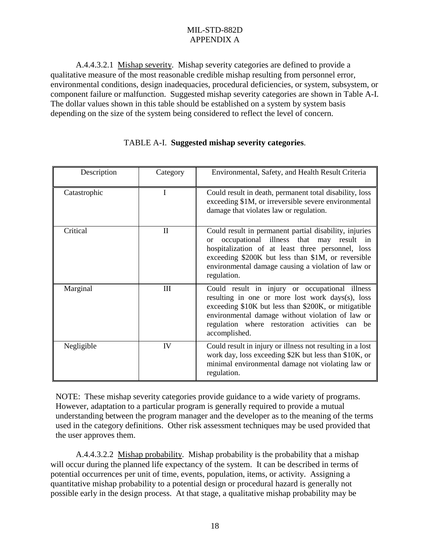A.4.4.3.2.1 Mishap severity. Mishap severity categories are defined to provide a qualitative measure of the most reasonable credible mishap resulting from personnel error, environmental conditions, design inadequacies, procedural deficiencies, or system, subsystem, or component failure or malfunction. Suggested mishap severity categories are shown in Table A-I. The dollar values shown in this table should be established on a system by system basis depending on the size of the system being considered to reflect the level of concern.

| Description  | Category     | Environmental, Safety, and Health Result Criteria                                                                                                                                                                                                                                             |
|--------------|--------------|-----------------------------------------------------------------------------------------------------------------------------------------------------------------------------------------------------------------------------------------------------------------------------------------------|
| Catastrophic |              | Could result in death, permanent total disability, loss<br>exceeding \$1M, or irreversible severe environmental<br>damage that violates law or regulation.                                                                                                                                    |
| Critical     | $\mathbf{I}$ | Could result in permanent partial disability, injuries<br>occupational illness that may result in<br>$\alpha$<br>hospitalization of at least three personnel, loss<br>exceeding \$200K but less than \$1M, or reversible<br>environmental damage causing a violation of law or<br>regulation. |
| Marginal     | III          | Could result in injury or occupational illness<br>resulting in one or more lost work days(s), loss<br>exceeding \$10K but less than \$200K, or mitigatible<br>environmental damage without violation of law or<br>regulation where restoration activities can be<br>accomplished.             |
| Negligible   | IV           | Could result in injury or illness not resulting in a lost<br>work day, loss exceeding \$2K but less than \$10K, or<br>minimal environmental damage not violating law or<br>regulation.                                                                                                        |

# TABLE A-I. **Suggested mishap severity categories**.

NOTE: These mishap severity categories provide guidance to a wide variety of programs. However, adaptation to a particular program is generally required to provide a mutual understanding between the program manager and the developer as to the meaning of the terms used in the category definitions. Other risk assessment techniques may be used provided that the user approves them.

A.4.4.3.2.2 Mishap probability. Mishap probability is the probability that a mishap will occur during the planned life expectancy of the system. It can be described in terms of potential occurrences per unit of time, events, population, items, or activity. Assigning a quantitative mishap probability to a potential design or procedural hazard is generally not possible early in the design process. At that stage, a qualitative mishap probability may be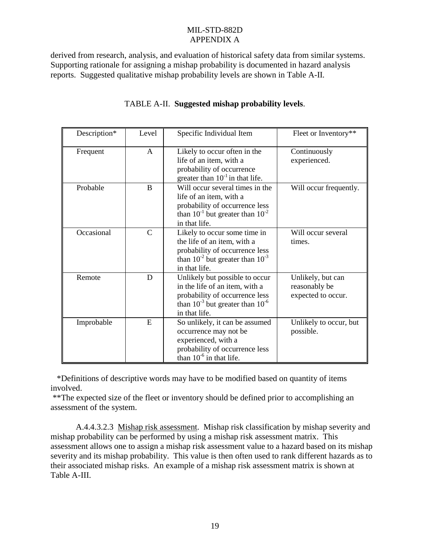derived from research, analysis, and evaluation of historical safety data from similar systems. Supporting rationale for assigning a mishap probability is documented in hazard analysis reports. Suggested qualitative mishap probability levels are shown in Table A-II.

| Description*                                                                                                                                                                    | Level                                                                                                                                                                        | Specific Individual Item                                                                                                                                   | Fleet or Inventory**         |
|---------------------------------------------------------------------------------------------------------------------------------------------------------------------------------|------------------------------------------------------------------------------------------------------------------------------------------------------------------------------|------------------------------------------------------------------------------------------------------------------------------------------------------------|------------------------------|
| Likely to occur often in the<br>A<br>Frequent<br>life of an item, with a<br>probability of occurrence<br>greater than $10^{-1}$ in that life.                                   |                                                                                                                                                                              | Continuously<br>experienced.                                                                                                                               |                              |
| Probable                                                                                                                                                                        | $\bf{B}$                                                                                                                                                                     | Will occur several times in the<br>life of an item, with a<br>probability of occurrence less<br>than $10^{-1}$ but greater than $10^{-2}$<br>in that life. | Will occur frequently.       |
| Occasional                                                                                                                                                                      | $\mathcal{C}$<br>Likely to occur some time in<br>the life of an item, with a<br>probability of occurrence less<br>than $10^{-2}$ but greater than $10^{-3}$<br>in that life. |                                                                                                                                                            | Will occur several<br>times. |
| D<br>Unlikely but possible to occur<br>Remote<br>in the life of an item, with a<br>probability of occurrence less<br>than $10^{-3}$ but greater than $10^{-6}$<br>in that life. |                                                                                                                                                                              | Unlikely, but can<br>reasonably be<br>expected to occur.                                                                                                   |                              |
| E<br>So unlikely, it can be assumed<br>Improbable<br>occurrence may not be<br>experienced, with a<br>probability of occurrence less<br>than $10^{-6}$ in that life.             |                                                                                                                                                                              | Unlikely to occur, but<br>possible.                                                                                                                        |                              |

# TABLE A-II. **Suggested mishap probability levels**.

 \*Definitions of descriptive words may have to be modified based on quantity of items involved.

 \*\*The expected size of the fleet or inventory should be defined prior to accomplishing an assessment of the system.

A.4.4.3.2.3 Mishap risk assessment. Mishap risk classification by mishap severity and mishap probability can be performed by using a mishap risk assessment matrix. This assessment allows one to assign a mishap risk assessment value to a hazard based on its mishap severity and its mishap probability. This value is then often used to rank different hazards as to their associated mishap risks. An example of a mishap risk assessment matrix is shown at Table A-III.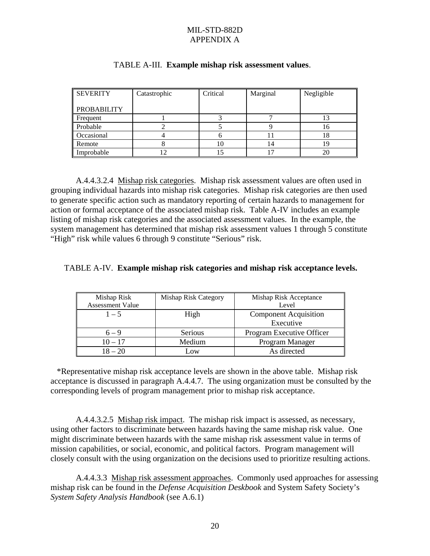| <b>SEVERITY</b>    | Catastrophic | Critical<br>Marginal |    | Negligible |
|--------------------|--------------|----------------------|----|------------|
| <b>PROBABILITY</b> |              |                      |    |            |
| Frequent           |              |                      |    |            |
| Probable           |              |                      |    | 10         |
| Occasional         |              |                      |    | 18         |
| Remote             |              |                      | 14 |            |
| Improbable         |              |                      |    | 20         |

#### TABLE A-III. **Example mishap risk assessment values**.

A.4.4.3.2.4 Mishap risk categories. Mishap risk assessment values are often used in grouping individual hazards into mishap risk categories. Mishap risk categories are then used to generate specific action such as mandatory reporting of certain hazards to management for action or formal acceptance of the associated mishap risk. Table A-IV includes an example listing of mishap risk categories and the associated assessment values. In the example, the system management has determined that mishap risk assessment values 1 through 5 constitute "High" risk while values 6 through 9 constitute "Serious" risk.

#### TABLE A-IV. **Example mishap risk categories and mishap risk acceptance levels.**

| Mishap Risk             | Mishap Risk Category | Mishap Risk Acceptance       |  |
|-------------------------|----------------------|------------------------------|--|
| <b>Assessment Value</b> |                      | Level                        |  |
| $1 - 5$                 | High                 | <b>Component Acquisition</b> |  |
|                         |                      | Executive                    |  |
| $6 - 9$                 | Serious              | Program Executive Officer    |  |
| Medium<br>$10 - 17$     |                      | Program Manager              |  |
| $18 - 20$               | $-0W$                | As directed                  |  |

 \*Representative mishap risk acceptance levels are shown in the above table. Mishap risk acceptance is discussed in paragraph A.4.4.7. The using organization must be consulted by the corresponding levels of program management prior to mishap risk acceptance.

A.4.4.3.2.5 Mishap risk impact. The mishap risk impact is assessed, as necessary, using other factors to discriminate between hazards having the same mishap risk value. One might discriminate between hazards with the same mishap risk assessment value in terms of mission capabilities, or social, economic, and political factors. Program management will closely consult with the using organization on the decisions used to prioritize resulting actions.

A.4.4.3.3 Mishap risk assessment approaches. Commonly used approaches for assessing mishap risk can be found in the *Defense Acquisition Deskbook* and System Safety Society's *System Safety Analysis Handbook* (see A.6.1)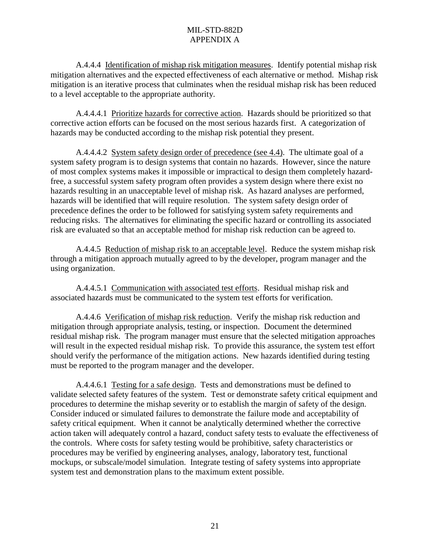A.4.4.4 Identification of mishap risk mitigation measures. Identify potential mishap risk mitigation alternatives and the expected effectiveness of each alternative or method. Mishap risk mitigation is an iterative process that culminates when the residual mishap risk has been reduced to a level acceptable to the appropriate authority.

A.4.4.4.1 Prioritize hazards for corrective action. Hazards should be prioritized so that corrective action efforts can be focused on the most serious hazards first. A categorization of hazards may be conducted according to the mishap risk potential they present.

A.4.4.4.2 System safety design order of precedence (see 4.4). The ultimate goal of a system safety program is to design systems that contain no hazards. However, since the nature of most complex systems makes it impossible or impractical to design them completely hazardfree, a successful system safety program often provides a system design where there exist no hazards resulting in an unacceptable level of mishap risk. As hazard analyses are performed, hazards will be identified that will require resolution. The system safety design order of precedence defines the order to be followed for satisfying system safety requirements and reducing risks. The alternatives for eliminating the specific hazard or controlling its associated risk are evaluated so that an acceptable method for mishap risk reduction can be agreed to.

A.4.4.5 Reduction of mishap risk to an acceptable level. Reduce the system mishap risk through a mitigation approach mutually agreed to by the developer, program manager and the using organization.

A.4.4.5.1 Communication with associated test efforts. Residual mishap risk and associated hazards must be communicated to the system test efforts for verification.

A.4.4.6 Verification of mishap risk reduction. Verify the mishap risk reduction and mitigation through appropriate analysis, testing, or inspection. Document the determined residual mishap risk. The program manager must ensure that the selected mitigation approaches will result in the expected residual mishap risk. To provide this assurance, the system test effort should verify the performance of the mitigation actions. New hazards identified during testing must be reported to the program manager and the developer.

A.4.4.6.1 Testing for a safe design. Tests and demonstrations must be defined to validate selected safety features of the system. Test or demonstrate safety critical equipment and procedures to determine the mishap severity or to establish the margin of safety of the design. Consider induced or simulated failures to demonstrate the failure mode and acceptability of safety critical equipment. When it cannot be analytically determined whether the corrective action taken will adequately control a hazard, conduct safety tests to evaluate the effectiveness of the controls. Where costs for safety testing would be prohibitive, safety characteristics or procedures may be verified by engineering analyses, analogy, laboratory test, functional mockups, or subscale/model simulation. Integrate testing of safety systems into appropriate system test and demonstration plans to the maximum extent possible.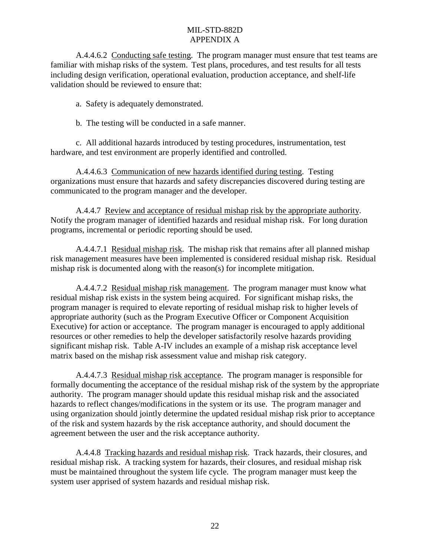A.4.4.6.2 Conducting safe testing. The program manager must ensure that test teams are familiar with mishap risks of the system. Test plans, procedures, and test results for all tests including design verification, operational evaluation, production acceptance, and shelf-life validation should be reviewed to ensure that:

a. Safety is adequately demonstrated.

b. The testing will be conducted in a safe manner.

c. All additional hazards introduced by testing procedures, instrumentation, test hardware, and test environment are properly identified and controlled.

A.4.4.6.3 Communication of new hazards identified during testing. Testing organizations must ensure that hazards and safety discrepancies discovered during testing are communicated to the program manager and the developer.

A.4.4.7 Review and acceptance of residual mishap risk by the appropriate authority. Notify the program manager of identified hazards and residual mishap risk. For long duration programs, incremental or periodic reporting should be used.

A.4.4.7.1 Residual mishap risk. The mishap risk that remains after all planned mishap risk management measures have been implemented is considered residual mishap risk. Residual mishap risk is documented along with the reason(s) for incomplete mitigation.

A.4.4.7.2 Residual mishap risk management. The program manager must know what residual mishap risk exists in the system being acquired. For significant mishap risks, the program manager is required to elevate reporting of residual mishap risk to higher levels of appropriate authority (such as the Program Executive Officer or Component Acquisition Executive) for action or acceptance. The program manager is encouraged to apply additional resources or other remedies to help the developer satisfactorily resolve hazards providing significant mishap risk. Table A-IV includes an example of a mishap risk acceptance level matrix based on the mishap risk assessment value and mishap risk category.

A.4.4.7.3 Residual mishap risk acceptance. The program manager is responsible for formally documenting the acceptance of the residual mishap risk of the system by the appropriate authority. The program manager should update this residual mishap risk and the associated hazards to reflect changes/modifications in the system or its use. The program manager and using organization should jointly determine the updated residual mishap risk prior to acceptance of the risk and system hazards by the risk acceptance authority, and should document the agreement between the user and the risk acceptance authority.

A.4.4.8 Tracking hazards and residual mishap risk. Track hazards, their closures, and residual mishap risk. A tracking system for hazards, their closures, and residual mishap risk must be maintained throughout the system life cycle. The program manager must keep the system user apprised of system hazards and residual mishap risk.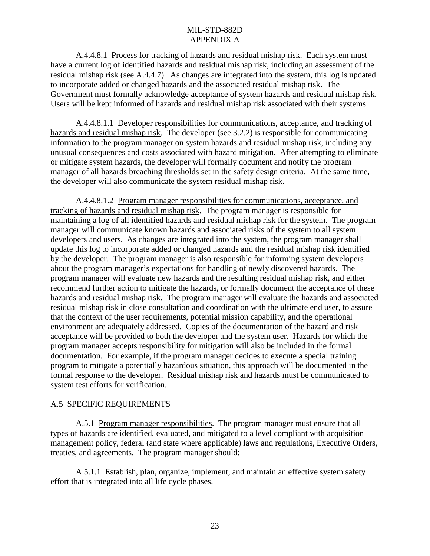A.4.4.8.1 Process for tracking of hazards and residual mishap risk. Each system must have a current log of identified hazards and residual mishap risk, including an assessment of the residual mishap risk (see A.4.4.7). As changes are integrated into the system, this log is updated to incorporate added or changed hazards and the associated residual mishap risk. The Government must formally acknowledge acceptance of system hazards and residual mishap risk. Users will be kept informed of hazards and residual mishap risk associated with their systems.

A.4.4.8.1.1 Developer responsibilities for communications, acceptance, and tracking of hazards and residual mishap risk. The developer (see 3.2.2) is responsible for communicating information to the program manager on system hazards and residual mishap risk, including any unusual consequences and costs associated with hazard mitigation. After attempting to eliminate or mitigate system hazards, the developer will formally document and notify the program manager of all hazards breaching thresholds set in the safety design criteria. At the same time, the developer will also communicate the system residual mishap risk.

A.4.4.8.1.2 Program manager responsibilities for communications, acceptance, and tracking of hazards and residual mishap risk. The program manager is responsible for maintaining a log of all identified hazards and residual mishap risk for the system. The program manager will communicate known hazards and associated risks of the system to all system developers and users. As changes are integrated into the system, the program manager shall update this log to incorporate added or changed hazards and the residual mishap risk identified by the developer. The program manager is also responsible for informing system developers about the program manager's expectations for handling of newly discovered hazards. The program manager will evaluate new hazards and the resulting residual mishap risk, and either recommend further action to mitigate the hazards, or formally document the acceptance of these hazards and residual mishap risk. The program manager will evaluate the hazards and associated residual mishap risk in close consultation and coordination with the ultimate end user, to assure that the context of the user requirements, potential mission capability, and the operational environment are adequately addressed. Copies of the documentation of the hazard and risk acceptance will be provided to both the developer and the system user. Hazards for which the program manager accepts responsibility for mitigation will also be included in the formal documentation. For example, if the program manager decides to execute a special training program to mitigate a potentially hazardous situation, this approach will be documented in the formal response to the developer. Residual mishap risk and hazards must be communicated to system test efforts for verification.

#### A.5 SPECIFIC REQUIREMENTS

A.5.1 Program manager responsibilities. The program manager must ensure that all types of hazards are identified, evaluated, and mitigated to a level compliant with acquisition management policy, federal (and state where applicable) laws and regulations, Executive Orders, treaties, and agreements. The program manager should:

A.5.1.1 Establish, plan, organize, implement, and maintain an effective system safety effort that is integrated into all life cycle phases.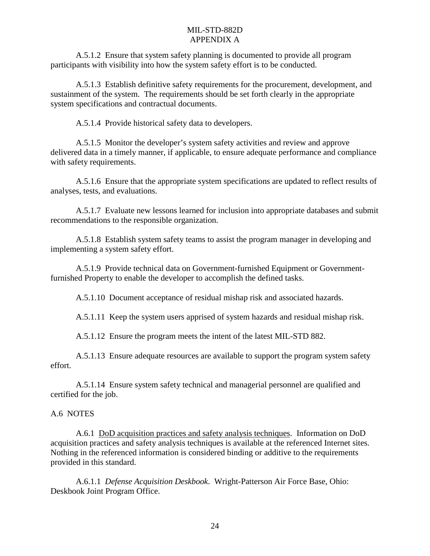A.5.1.2 Ensure that system safety planning is documented to provide all program participants with visibility into how the system safety effort is to be conducted.

A.5.1.3 Establish definitive safety requirements for the procurement, development, and sustainment of the system. The requirements should be set forth clearly in the appropriate system specifications and contractual documents.

A.5.1.4 Provide historical safety data to developers.

A.5.1.5 Monitor the developer's system safety activities and review and approve delivered data in a timely manner, if applicable, to ensure adequate performance and compliance with safety requirements.

A.5.1.6 Ensure that the appropriate system specifications are updated to reflect results of analyses, tests, and evaluations.

A.5.1.7 Evaluate new lessons learned for inclusion into appropriate databases and submit recommendations to the responsible organization.

A.5.1.8 Establish system safety teams to assist the program manager in developing and implementing a system safety effort.

A.5.1.9 Provide technical data on Government-furnished Equipment or Governmentfurnished Property to enable the developer to accomplish the defined tasks.

A.5.1.10 Document acceptance of residual mishap risk and associated hazards.

A.5.1.11 Keep the system users apprised of system hazards and residual mishap risk.

A.5.1.12 Ensure the program meets the intent of the latest MIL-STD 882.

A.5.1.13 Ensure adequate resources are available to support the program system safety effort.

A.5.1.14 Ensure system safety technical and managerial personnel are qualified and certified for the job.

#### A.6 NOTES

A.6.1 DoD acquisition practices and safety analysis techniques. Information on DoD acquisition practices and safety analysis techniques is available at the referenced Internet sites. Nothing in the referenced information is considered binding or additive to the requirements provided in this standard.

A.6.1.1 *Defense Acquisition Deskbook*. Wright-Patterson Air Force Base, Ohio: Deskbook Joint Program Office.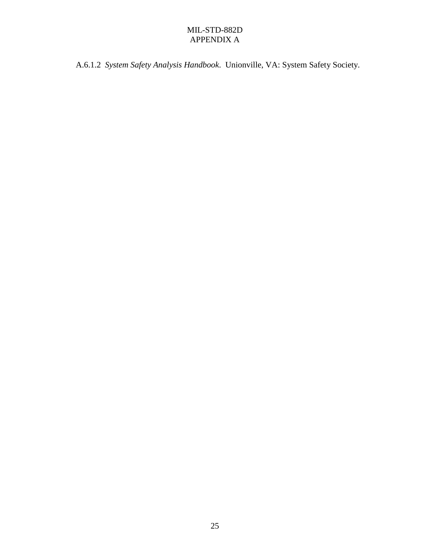A.6.1.2 *System Safety Analysis Handbook*. Unionville, VA: System Safety Society.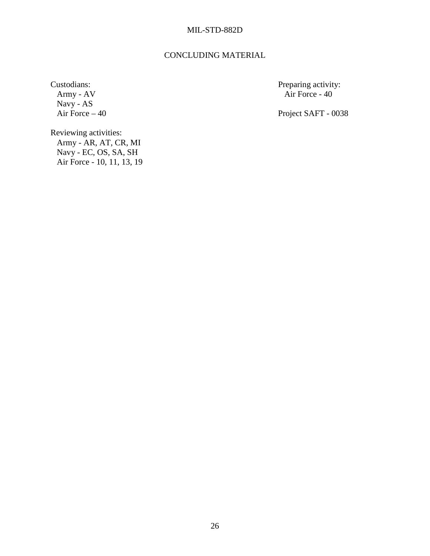#### CONCLUDING MATERIAL

Navy - AS<br>Air Force - 40

Custodians: Preparing activity: Army - AV air Force - 40 Air Force -  $40$ 

Project SAFT - 0038

Reviewing activities: Army - AR, AT, CR, MI Navy - EC, OS, SA, SH Air Force - 10, 11, 13, 19